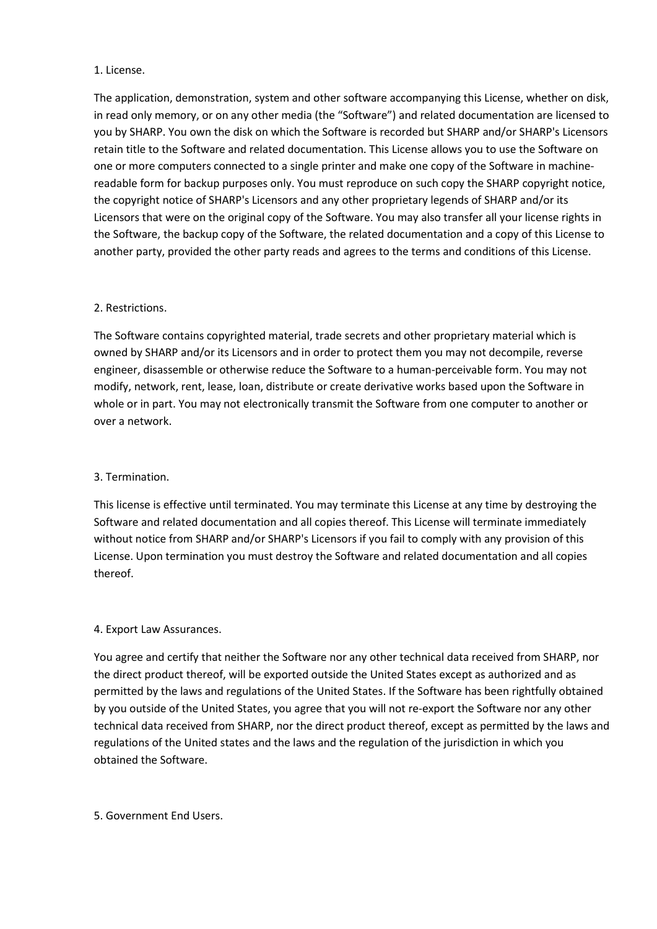## 1. License.

The application, demonstration, system and other software accompanying this License, whether on disk, in read only memory, or on any other media (the "Software") and related documentation are licensed to you by SHARP. You own the disk on which the Software is recorded but SHARP and/or SHARP's Licensors retain title to the Software and related documentation. This License allows you to use the Software on one or more computers connected to a single printer and make one copy of the Software in machinereadable form for backup purposes only. You must reproduce on such copy the SHARP copyright notice, the copyright notice of SHARP's Licensors and any other proprietary legends of SHARP and/or its Licensors that were on the original copy of the Software. You may also transfer all your license rights in the Software, the backup copy of the Software, the related documentation and a copy of this License to another party, provided the other party reads and agrees to the terms and conditions of this License.

# 2. Restrictions.

The Software contains copyrighted material, trade secrets and other proprietary material which is owned by SHARP and/or its Licensors and in order to protect them you may not decompile, reverse engineer, disassemble or otherwise reduce the Software to a human-perceivable form. You may not modify, network, rent, lease, loan, distribute or create derivative works based upon the Software in whole or in part. You may not electronically transmit the Software from one computer to another or over a network.

# 3. Termination.

This license is effective until terminated. You may terminate this License at any time by destroying the Software and related documentation and all copies thereof. This License will terminate immediately without notice from SHARP and/or SHARP's Licensors if you fail to comply with any provision of this License. Upon termination you must destroy the Software and related documentation and all copies thereof.

# 4. Export Law Assurances.

You agree and certify that neither the Software nor any other technical data received from SHARP, nor the direct product thereof, will be exported outside the United States except as authorized and as permitted by the laws and regulations of the United States. If the Software has been rightfully obtained by you outside of the United States, you agree that you will not re-export the Software nor any other technical data received from SHARP, nor the direct product thereof, except as permitted by the laws and regulations of the United states and the laws and the regulation of the jurisdiction in which you obtained the Software.

# 5. Government End Users.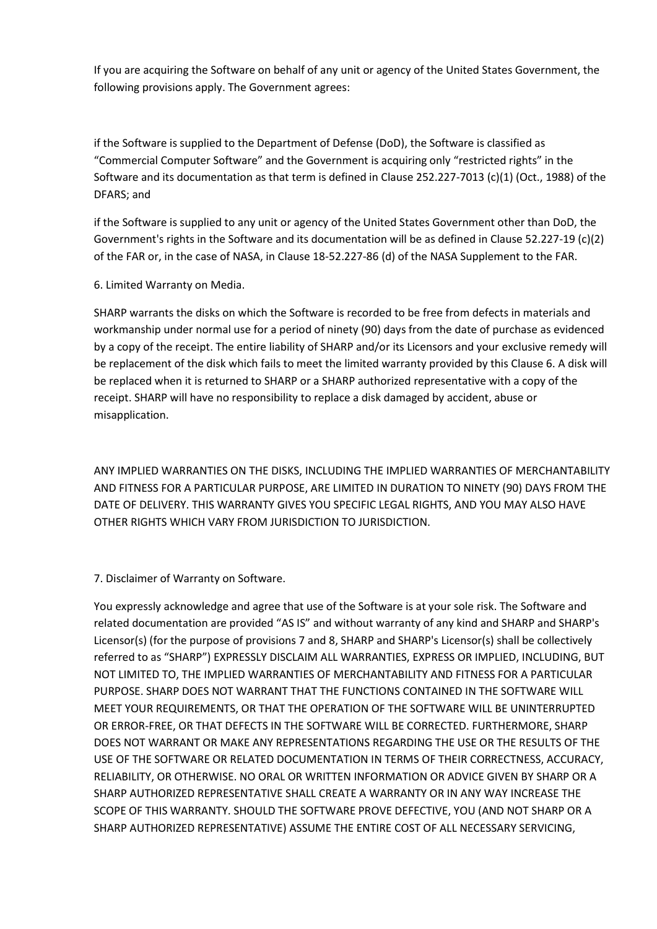If you are acquiring the Software on behalf of any unit or agency of the United States Government, the following provisions apply. The Government agrees:

if the Software is supplied to the Department of Defense (DoD), the Software is classified as "Commercial Computer Software" and the Government is acquiring only "restricted rights" in the Software and its documentation as that term is defined in Clause 252.227-7013 (c)(1) (Oct., 1988) of the DFARS; and

if the Software is supplied to any unit or agency of the United States Government other than DoD, the Government's rights in the Software and its documentation will be as defined in Clause 52.227-19 (c)(2) of the FAR or, in the case of NASA, in Clause 18-52.227-86 (d) of the NASA Supplement to the FAR.

6. Limited Warranty on Media.

SHARP warrants the disks on which the Software is recorded to be free from defects in materials and workmanship under normal use for a period of ninety (90) days from the date of purchase as evidenced by a copy of the receipt. The entire liability of SHARP and/or its Licensors and your exclusive remedy will be replacement of the disk which fails to meet the limited warranty provided by this Clause 6. A disk will be replaced when it is returned to SHARP or a SHARP authorized representative with a copy of the receipt. SHARP will have no responsibility to replace a disk damaged by accident, abuse or misapplication.

ANY IMPLIED WARRANTIES ON THE DISKS, INCLUDING THE IMPLIED WARRANTIES OF MERCHANTABILITY AND FITNESS FOR A PARTICULAR PURPOSE, ARE LIMITED IN DURATION TO NINETY (90) DAYS FROM THE DATE OF DELIVERY. THIS WARRANTY GIVES YOU SPECIFIC LEGAL RIGHTS, AND YOU MAY ALSO HAVE OTHER RIGHTS WHICH VARY FROM JURISDICTION TO JURISDICTION.

7. Disclaimer of Warranty on Software.

You expressly acknowledge and agree that use of the Software is at your sole risk. The Software and related documentation are provided "AS IS" and without warranty of any kind and SHARP and SHARP's Licensor(s) (for the purpose of provisions 7 and 8, SHARP and SHARP's Licensor(s) shall be collectively referred to as "SHARP") EXPRESSLY DISCLAIM ALL WARRANTIES, EXPRESS OR IMPLIED, INCLUDING, BUT NOT LIMITED TO, THE IMPLIED WARRANTIES OF MERCHANTABILITY AND FITNESS FOR A PARTICULAR PURPOSE. SHARP DOES NOT WARRANT THAT THE FUNCTIONS CONTAINED IN THE SOFTWARE WILL MEET YOUR REQUIREMENTS, OR THAT THE OPERATION OF THE SOFTWARE WILL BE UNINTERRUPTED OR ERROR-FREE, OR THAT DEFECTS IN THE SOFTWARE WILL BE CORRECTED. FURTHERMORE, SHARP DOES NOT WARRANT OR MAKE ANY REPRESENTATIONS REGARDING THE USE OR THE RESULTS OF THE USE OF THE SOFTWARE OR RELATED DOCUMENTATION IN TERMS OF THEIR CORRECTNESS, ACCURACY, RELIABILITY, OR OTHERWISE. NO ORAL OR WRITTEN INFORMATION OR ADVICE GIVEN BY SHARP OR A SHARP AUTHORIZED REPRESENTATIVE SHALL CREATE A WARRANTY OR IN ANY WAY INCREASE THE SCOPE OF THIS WARRANTY. SHOULD THE SOFTWARE PROVE DEFECTIVE, YOU (AND NOT SHARP OR A SHARP AUTHORIZED REPRESENTATIVE) ASSUME THE ENTIRE COST OF ALL NECESSARY SERVICING,